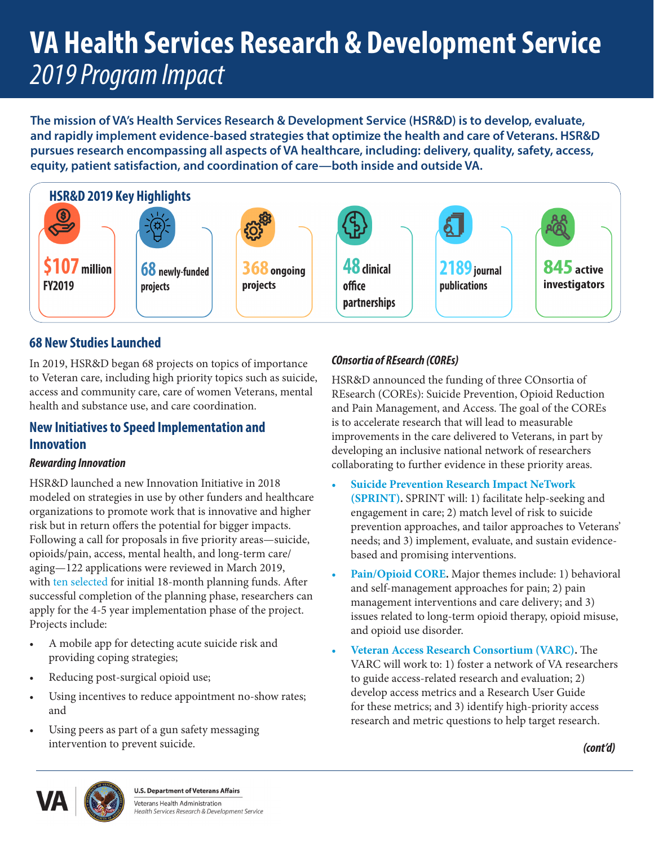# **VA Health Services Research & Development Service** *2019 Program Impact*

**The mission of VA's Health Services Research & Development Service (HSR&D) is to develop, evaluate, and rapidly implement evidence-based strategies that optimize the health and care of Veterans. HSR&D pursues research encompassing all aspects of VA healthcare, including: delivery, quality, safety, access, equity, patient satisfaction, and coordination of care—both inside and outside VA.** 



# **68 New Studies Launched**

In 2019, HSR&D began 68 projects on topics of importance to Veteran care, including high priority topics such as suicide, access and community care, care of women Veterans, mental health and substance use, and care coordination.

## **New Initiatives to Speed Implementation and Innovation**

#### *Rewarding Innovation*

HSR&D launched a new Innovation Initiative in 2018 modeled on strategies in use by other funders and healthcare organizations to promote work that is innovative and higher risk but in return offers the potential for bigger impacts. Following a call for proposals in five priority areas—suicide, opioids/pain, access, mental health, and long-term care/ aging—122 applications were reviewed in March 2019, with [ten selected](https://www.hsrd.research.va.gov/for_researchers/InnovationAwards-factsheet.pdf) for initial 18-month planning funds. After successful completion of the planning phase, researchers can apply for the 4-5 year implementation phase of the project. Projects include:

- A mobile app for detecting acute suicide risk and providing coping strategies;
- Reducing post-surgical opioid use;
- Using incentives to reduce appointment no-show rates; and
- Using peers as part of a gun safety messaging intervention to prevent suicide.

### *COnsortia of REsearch (COREs)*

HSR&D announced the funding of three COnsortia of REsearch (COREs): Suicide Prevention, Opioid Reduction and Pain Management, and Access. The goal of the COREs is to accelerate research that will lead to measurable improvements in the care delivered to Veterans, in part by developing an inclusive national network of researchers collaborating to further evidence in these priority areas.

- **• Suicide [Prevention](https://www.hsrd.research.va.gov/centers/core/sprint.cfm) Research Impact NeTwork [\(SPRINT\).](https://www.hsrd.research.va.gov/centers/core/sprint.cfm)** SPRINT will: 1) facilitate help-seeking and engagement in care; 2) match level of risk to suicide prevention approaches, and tailor approaches to Veterans' needs; and 3) implement, evaluate, and sustain evidencebased and promising interventions.
- **• [Pain/Opioid](https://www.hsrd.research.va.gov/centers/core/pain-opioid.cfm) CORE.** Major themes include: 1) behavioral and self-management approaches for pain; 2) pain management interventions and care delivery; and 3) issues related to long-term opioid therapy, opioid misuse, and opioid use disorder.
- **• Veteran Access Research [Consortium](https://www.hsrd.research.va.gov/centers/core/access.cfm) (VARC).** The VARC will work to: 1) foster a network of VA researchers to guide access-related research and evaluation; 2) develop access metrics and a Research User Guide for these metrics; and 3) identify high-priority access research and metric questions to help target research.





**U.S. Department of Veterans Affairs** Veterans Health Administration Health Services Research & Development Service